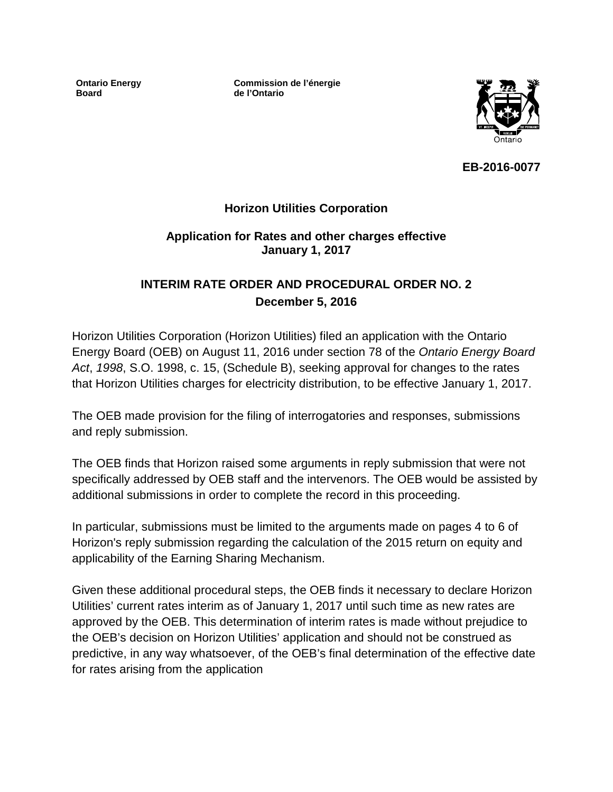**Ontario Energy Board**

**Commission de l'énergie de l'Ontario**



**EB-2016-0077**

## **Horizon Utilities Corporation**

## **Application for Rates and other charges effective January 1, 2017**

# **INTERIM RATE ORDER AND PROCEDURAL ORDER NO. 2 December 5, 2016**

Horizon Utilities Corporation (Horizon Utilities) filed an application with the Ontario Energy Board (OEB) on August 11, 2016 under section 78 of the *Ontario Energy Board Act*, *1998*, S.O. 1998, c. 15, (Schedule B), seeking approval for changes to the rates that Horizon Utilities charges for electricity distribution, to be effective January 1, 2017.

The OEB made provision for the filing of interrogatories and responses, submissions and reply submission.

The OEB finds that Horizon raised some arguments in reply submission that were not specifically addressed by OEB staff and the intervenors. The OEB would be assisted by additional submissions in order to complete the record in this proceeding.

In particular, submissions must be limited to the arguments made on pages 4 to 6 of Horizon's reply submission regarding the calculation of the 2015 return on equity and applicability of the Earning Sharing Mechanism.

Given these additional procedural steps, the OEB finds it necessary to declare Horizon Utilities' current rates interim as of January 1, 2017 until such time as new rates are approved by the OEB. This determination of interim rates is made without prejudice to the OEB's decision on Horizon Utilities' application and should not be construed as predictive, in any way whatsoever, of the OEB's final determination of the effective date for rates arising from the application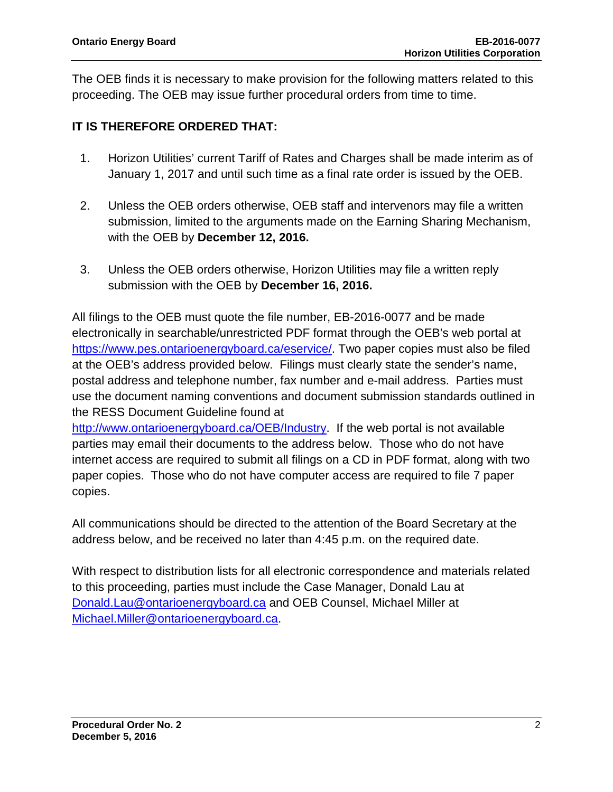The OEB finds it is necessary to make provision for the following matters related to this proceeding. The OEB may issue further procedural orders from time to time.

## **IT IS THEREFORE ORDERED THAT:**

- 1. Horizon Utilities' current Tariff of Rates and Charges shall be made interim as of January 1, 2017 and until such time as a final rate order is issued by the OEB.
- 2. Unless the OEB orders otherwise, OEB staff and intervenors may file a written submission, limited to the arguments made on the Earning Sharing Mechanism, with the OEB by **December 12, 2016.**
- 3. Unless the OEB orders otherwise, Horizon Utilities may file a written reply submission with the OEB by **December 16, 2016.**

All filings to the OEB must quote the file number, EB-2016-0077 and be made electronically in searchable/unrestricted PDF format through the OEB's web portal at [https://www.pes.ontarioenergyboard.ca/eservice/.](https://www.pes.ontarioenergyboard.ca/eservice/) Two paper copies must also be filed at the OEB's address provided below. Filings must clearly state the sender's name, postal address and telephone number, fax number and e-mail address. Parties must use the document naming conventions and document submission standards outlined in the RESS Document Guideline found at

[http://www.ontarioenergyboard.ca/OEB/Industry.](http://www.ontarioenergyboard.ca/OEB/Industry) If the web portal is not available parties may email their documents to the address below. Those who do not have internet access are required to submit all filings on a CD in PDF format, along with two paper copies. Those who do not have computer access are required to file 7 paper copies.

All communications should be directed to the attention of the Board Secretary at the address below, and be received no later than 4:45 p.m. on the required date.

With respect to distribution lists for all electronic correspondence and materials related to this proceeding, parties must include the Case Manager, Donald Lau at [Donald.Lau@ontarioenergyboard.ca](mailto:Donald.Lau@ontarioenergyboard.ca) and OEB Counsel, Michael Miller at [Michael.Miller@ontarioenergyboard.ca.](mailto:Michael.Miller@ontarioenergyboard.ca)